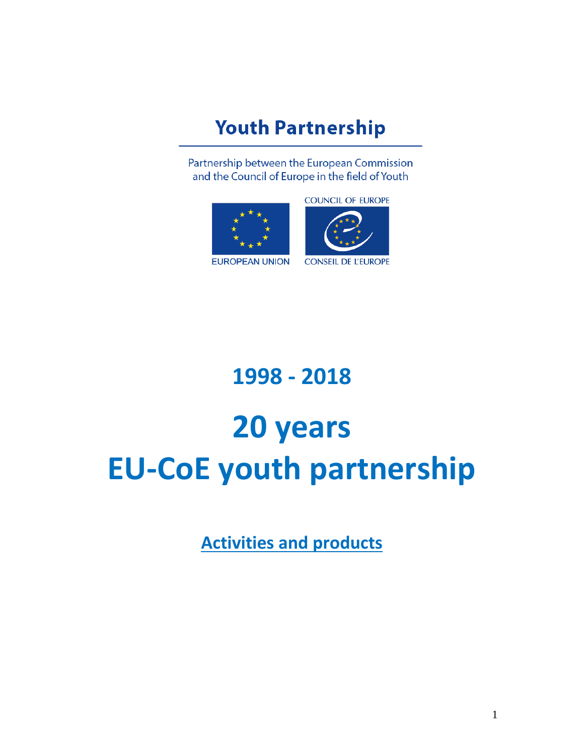## **Youth Partnership**

Partnership between the European Commission and the Council of Europe in the field of Youth



**COUNCIL OF EUROPE** 



**CONSEIL DE L'EUROPE** 

# **1998 - 2018**

# **20 years EU-CoE youth partnership**

**Activities and products**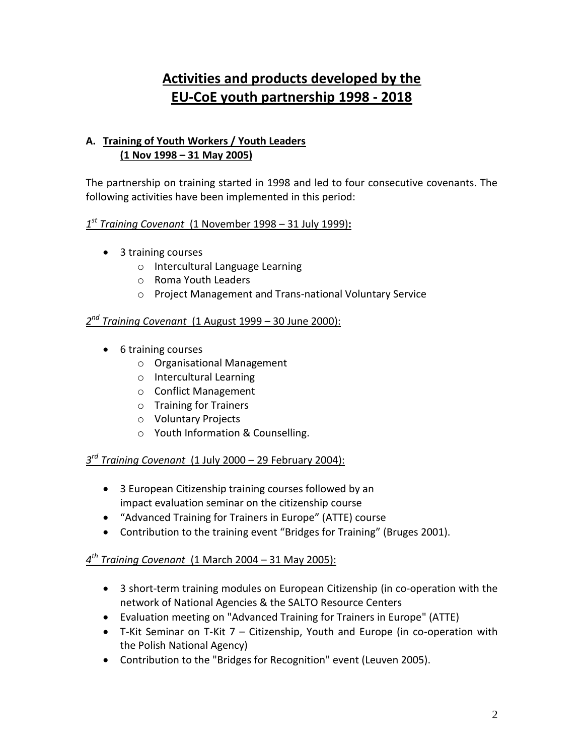### **Activities and products developed by the EU-CoE youth partnership 1998 - 2018**

#### **A. Training of Youth Workers / Youth Leaders (1 Nov 1998 – 31 May 2005)**

The partnership on training started in 1998 and led to four consecutive covenants. The following activities have been implemented in this period:

#### *1 st Training Covenant* (1 November 1998 – 31 July 1999)**:**

- 3 training courses
	- o Intercultural Language Learning
	- o Roma Youth Leaders
	- o Project Management and Trans-national Voluntary Service

#### *2 nd Training Covenant* (1 August 1999 – 30 June 2000):

- 6 training courses
	- o Organisational Management
	- o Intercultural Learning
	- o Conflict Management
	- o Training for Trainers
	- o Voluntary Projects
	- o Youth Information & Counselling.

#### *3 rd Training Covenant* (1 July 2000 – 29 February 2004):

- 3 European Citizenship training courses followed by an impact evaluation seminar on the citizenship course
- "Advanced Training for Trainers in Europe" (ATTE) course
- Contribution to the training event "Bridges for Training" (Bruges 2001).

#### *4 th Training Covenant* (1 March 2004 – 31 May 2005):

- 3 short-term training modules on European Citizenship (in co-operation with the network of National Agencies & the SALTO Resource Centers
- Evaluation meeting on "Advanced Training for Trainers in Europe" (ATTE)
- T-Kit Seminar on T-Kit 7 Citizenship, Youth and Europe (in co-operation with the Polish National Agency)
- Contribution to the "Bridges for Recognition" event (Leuven 2005).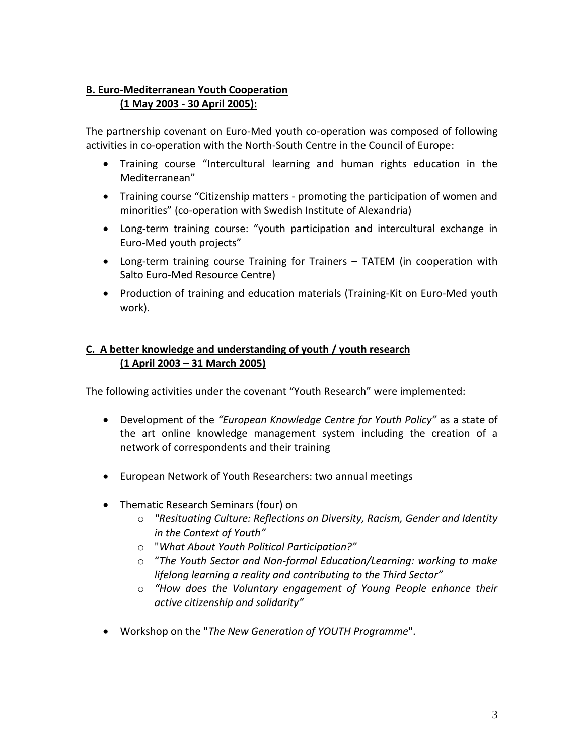#### **B. Euro-Mediterranean Youth Cooperation (1 May 2003 - 30 April 2005):**

The partnership covenant on Euro-Med youth co-operation was composed of following activities in co-operation with the North-South Centre in the Council of Europe:

- Training course "Intercultural learning and human rights education in the Mediterranean"
- Training course "Citizenship matters promoting the participation of women and minorities" (co-operation with Swedish Institute of Alexandria)
- Long-term training course: "youth participation and intercultural exchange in Euro-Med youth projects"
- Long-term training course Training for Trainers TATEM (in cooperation with Salto Euro-Med Resource Centre)
- Production of training and education materials (Training-Kit on Euro-Med youth work).

#### **C. A better knowledge and understanding of youth / youth research (1 April 2003 – 31 March 2005)**

The following activities under the covenant "Youth Research" were implemented:

- Development of the *"European Knowledge Centre for Youth Policy"* as a state of the art online knowledge management system including the creation of a network of correspondents and their training
- European Network of Youth Researchers: two annual meetings
- Thematic Research Seminars (four) on
	- o *"Resituating Culture: Reflections on Diversity, Racism, Gender and Identity in the Context of Youth"*
	- o "*What About Youth Political Participation?"*
	- o "*The Youth Sector and Non-formal Education/Learning: working to make lifelong learning a reality and contributing to the Third Sector"*
	- o *"How does the Voluntary engagement of Young People enhance their active citizenship and solidarity"*
- Workshop on the "*The New Generation of YOUTH Programme*".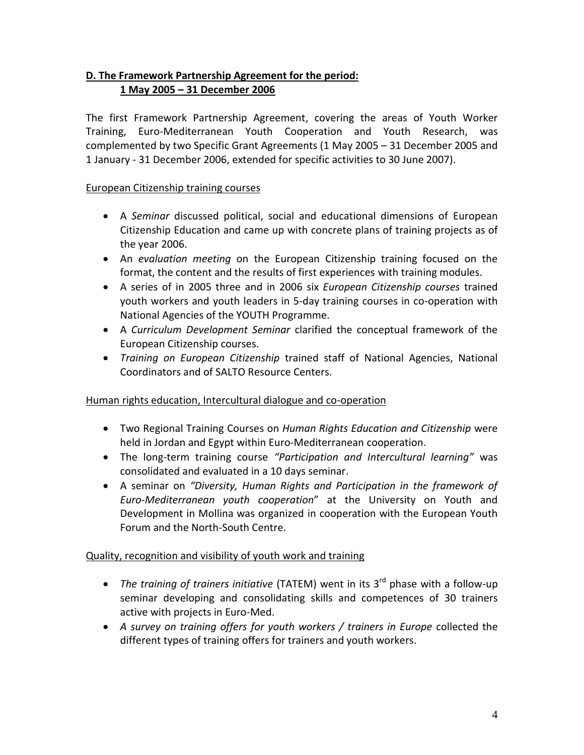#### **D. The Framework Partnership Agreement for the period: 1 May 2005 – 31 December 2006**

The first Framework Partnership Agreement, covering the areas of Youth Worker Training, Euro-Mediterranean Youth Cooperation and Youth Research, was complemented by two Specific Grant Agreements (1 May 2005 – 31 December 2005 and 1 January - 31 December 2006, extended for specific activities to 30 June 2007).

#### European Citizenship training courses

- A *Seminar* discussed political, social and educational dimensions of European Citizenship Education and came up with concrete plans of training projects as of the year 2006.
- An *evaluation meeting* on the European Citizenship training focused on the format, the content and the results of first experiences with training modules.
- A series of in 2005 three and in 2006 six *European Citizenship courses* trained youth workers and youth leaders in 5-day training courses in co-operation with National Agencies of the YOUTH Programme.
- A *Curriculum Development Seminar* clarified the conceptual framework of the European Citizenship courses.
- *Training on European Citizenship* trained staff of National Agencies, National Coordinators and of SALTO Resource Centers.

#### Human rights education, Intercultural dialogue and co-operation

- Two Regional Training Courses on *Human Rights Education and Citizenship* were held in Jordan and Egypt within Euro-Mediterranean cooperation.
- The long-term training course *"Participation and Intercultural learning"* was consolidated and evaluated in a 10 days seminar.
- A seminar on *"Diversity, Human Rights and Participation in the framework of Euro-Mediterranean youth cooperation*" at the University on Youth and Development in Mollina was organized in cooperation with the European Youth Forum and the North-South Centre.

#### Quality, recognition and visibility of youth work and training

- The training of trainers initiative (TATEM) went in its 3<sup>rd</sup> phase with a follow-up seminar developing and consolidating skills and competences of 30 trainers active with projects in Euro-Med.
- *A survey on training offers for youth workers / trainers in Europe* collected the different types of training offers for trainers and youth workers.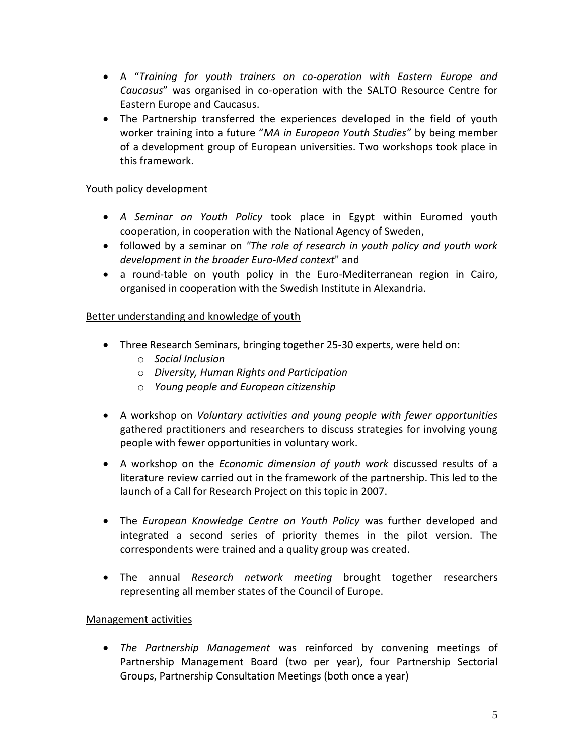- A "*Training for youth trainers on co-operation with Eastern Europe and Caucasus*" was organised in co-operation with the SALTO Resource Centre for Eastern Europe and Caucasus.
- The Partnership transferred the experiences developed in the field of youth worker training into a future "*MA in European Youth Studies"* by being member of a development group of European universities. Two workshops took place in this framework.

#### Youth policy development

- *A Seminar on Youth Policy* took place in Egypt within Euromed youth cooperation, in cooperation with the National Agency of Sweden,
- followed by a seminar on *"The role of research in youth policy and youth work development in the broader Euro-Med context*" and
- a round-table on youth policy in the Euro-Mediterranean region in Cairo, organised in cooperation with the Swedish Institute in Alexandria.

#### Better understanding and knowledge of youth

- Three Research Seminars, bringing together 25-30 experts, were held on:
	- o *Social Inclusion*
	- o *Diversity, Human Rights and Participation*
	- o *Young people and European citizenship*
- A workshop on *Voluntary activities and young people with fewer opportunities* gathered practitioners and researchers to discuss strategies for involving young people with fewer opportunities in voluntary work.
- A workshop on the *Economic dimension of youth work* discussed results of a literature review carried out in the framework of the partnership. This led to the launch of a Call for Research Project on this topic in 2007.
- The *European Knowledge Centre on Youth Policy* was further developed and integrated a second series of priority themes in the pilot version. The correspondents were trained and a quality group was created.
- The annual *Research network meeting* brought together researchers representing all member states of the Council of Europe.

#### Management activities

 *The Partnership Management* was reinforced by convening meetings of Partnership Management Board (two per year), four Partnership Sectorial Groups, Partnership Consultation Meetings (both once a year)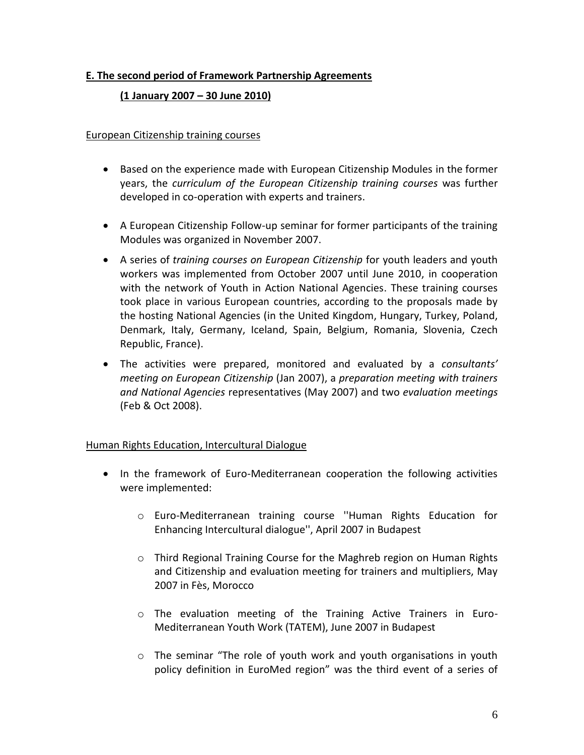#### **E. The second period of Framework Partnership Agreements**

#### **(1 January 2007 – 30 June 2010)**

#### European Citizenship training courses

- Based on the experience made with European Citizenship Modules in the former years, the *curriculum of the European Citizenship training courses* was further developed in co-operation with experts and trainers.
- A European Citizenship Follow-up seminar for former participants of the training Modules was organized in November 2007.
- A series of *training courses on European Citizenship* for youth leaders and youth workers was implemented from October 2007 until June 2010, in cooperation with the network of Youth in Action National Agencies. These training courses took place in various European countries, according to the proposals made by the hosting National Agencies (in the United Kingdom, Hungary, Turkey, Poland, Denmark, Italy, Germany, Iceland, Spain, Belgium, Romania, Slovenia, Czech Republic, France).
- The activities were prepared, monitored and evaluated by a *consultants' meeting on European Citizenship* (Jan 2007), a *preparation meeting with trainers and National Agencies* representatives (May 2007) and two *evaluation meetings* (Feb & Oct 2008).

#### Human Rights Education, Intercultural Dialogue

- In the framework of Euro-Mediterranean cooperation the following activities were implemented:
	- o Euro-Mediterranean training course ''Human Rights Education for Enhancing Intercultural dialogue'', April 2007 in Budapest
	- $\circ$  Third Regional Training Course for the Maghreb region on Human Rights and Citizenship and evaluation meeting for trainers and multipliers, May 2007 in Fès, Morocco
	- o The evaluation meeting of the Training Active Trainers in Euro-Mediterranean Youth Work (TATEM), June 2007 in Budapest
	- o The seminar "The role of youth work and youth organisations in youth policy definition in EuroMed region" was the third event of a series of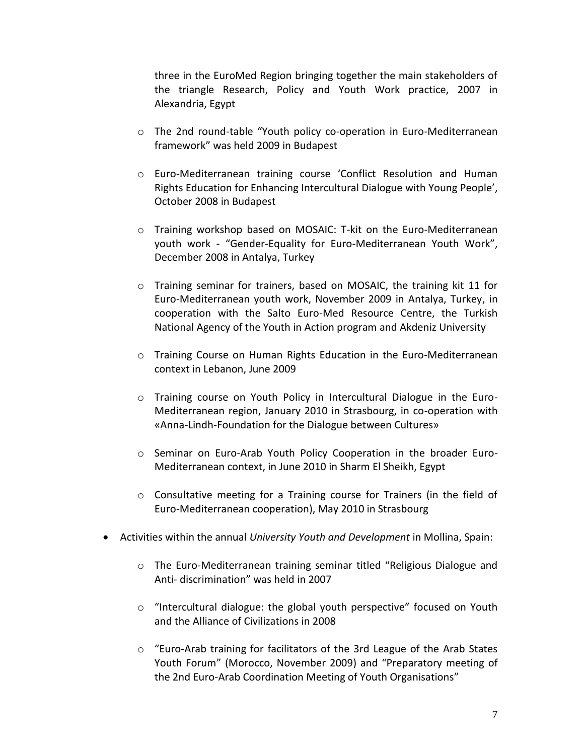three in the EuroMed Region bringing together the main stakeholders of the triangle Research, Policy and Youth Work practice, 2007 in Alexandria, Egypt

- o The 2nd round-table "Youth policy co-operation in Euro-Mediterranean framework" was held 2009 in Budapest
- o Euro-Mediterranean training course 'Conflict Resolution and Human Rights Education for Enhancing Intercultural Dialogue with Young People', October 2008 in Budapest
- o Training workshop based on MOSAIC: T-kit on the Euro-Mediterranean youth work - "Gender-Equality for Euro-Mediterranean Youth Work", December 2008 in Antalya, Turkey
- $\circ$  Training seminar for trainers, based on MOSAIC, the training kit 11 for Euro-Mediterranean youth work, November 2009 in Antalya, Turkey, in cooperation with the Salto Euro-Med Resource Centre, the Turkish National Agency of the Youth in Action program and Akdeniz University
- o Training Course on Human Rights Education in the Euro-Mediterranean context in Lebanon, June 2009
- o Training course on Youth Policy in Intercultural Dialogue in the Euro-Mediterranean region, January 2010 in Strasbourg, in co-operation with «Anna-Lindh-Foundation for the Dialogue between Cultures»
- o Seminar on Euro-Arab Youth Policy Cooperation in the broader Euro-Mediterranean context, in June 2010 in Sharm El Sheikh, Egypt
- $\circ$  Consultative meeting for a Training course for Trainers (in the field of Euro-Mediterranean cooperation), May 2010 in Strasbourg
- Activities within the annual *University Youth and Development* in Mollina, Spain:
	- o The Euro-Mediterranean training seminar titled "Religious Dialogue and Anti- discrimination" was held in 2007
	- o "Intercultural dialogue: the global youth perspective" focused on Youth and the Alliance of Civilizations in 2008
	- o "Euro-Arab training for facilitators of the 3rd League of the Arab States Youth Forum" (Morocco, November 2009) and "Preparatory meeting of the 2nd Euro-Arab Coordination Meeting of Youth Organisations"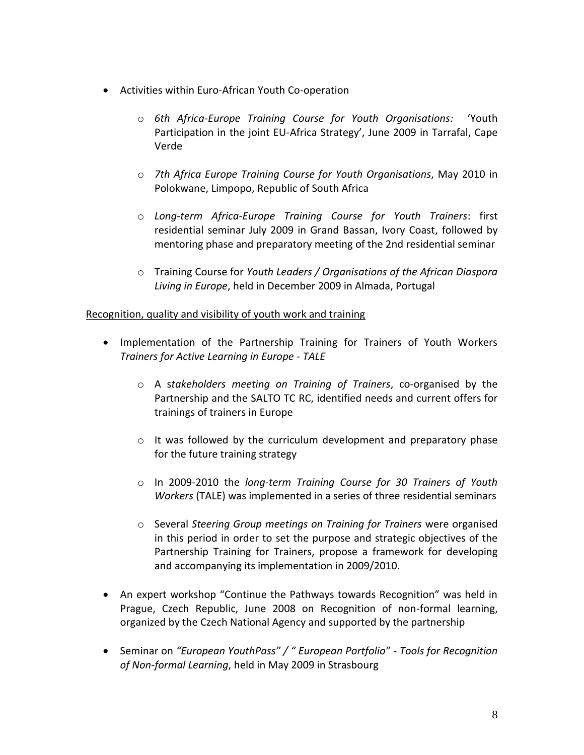- Activities within Euro-African Youth Co-operation
	- o *6th Africa-Europe Training Course for Youth Organisations:* 'Youth Participation in the joint EU-Africa Strategy', June 2009 in Tarrafal, Cape Verde
	- o *7th Africa Europe Training Course for Youth Organisations*, May 2010 in Polokwane, Limpopo, Republic of South Africa
	- o *Long-term Africa-Europe Training Course for Youth Trainers*: first residential seminar July 2009 in Grand Bassan, Ivory Coast, followed by mentoring phase and preparatory meeting of the 2nd residential seminar
	- o Training Course for *Youth Leaders / Organisations of the African Diaspora Living in Europe*, held in December 2009 in Almada, Portugal

#### Recognition, quality and visibility of youth work and training

- Implementation of the Partnership Training for Trainers of Youth Workers *Trainers for Active Learning in Europe - TALE*
	- o A s*takeholders meeting on Training of Trainers*, co-organised by the Partnership and the SALTO TC RC, identified needs and current offers for trainings of trainers in Europe
	- o It was followed by the curriculum development and preparatory phase for the future training strategy
	- o In 2009-2010 the *long-term Training Course for 30 Trainers of Youth Workers* (TALE) was implemented in a series of three residential seminars
	- o Several *Steering Group meetings on Training for Trainers* were organised in this period in order to set the purpose and strategic objectives of the Partnership Training for Trainers, propose a framework for developing and accompanying its implementation in 2009/2010.
- An expert workshop "Continue the Pathways towards Recognition" was held in Prague, Czech Republic, June 2008 on Recognition of non-formal learning, organized by the Czech National Agency and supported by the partnership
- Seminar on *"European YouthPass" / " European Portfolio" - Tools for Recognition of Non-formal Learning*, held in May 2009 in Strasbourg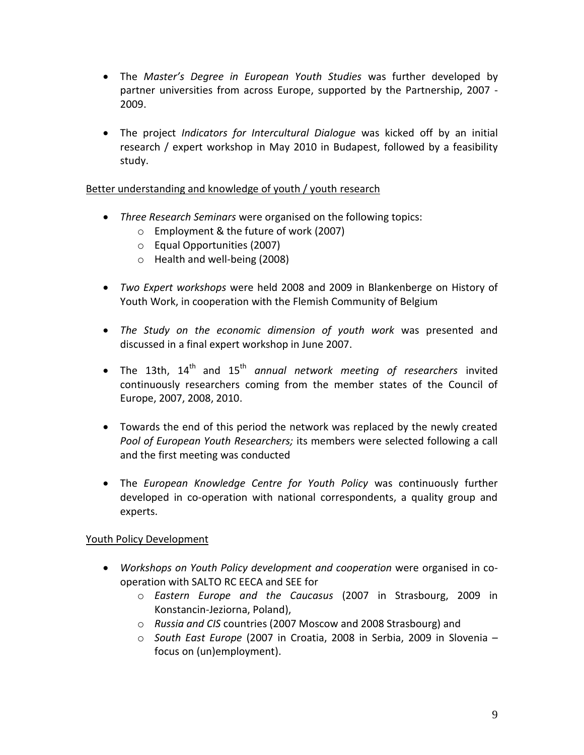- The *Master's Degree in European Youth Studies* was further developed by partner universities from across Europe, supported by the Partnership, 2007 - 2009.
- The project *Indicators for Intercultural Dialogue* was kicked off by an initial research / expert workshop in May 2010 in Budapest, followed by a feasibility study.

#### Better understanding and knowledge of youth / youth research

- *Three Research Seminars* were organised on the following topics:
	- o Employment & the future of work (2007)
	- o Equal Opportunities (2007)
	- o Health and well-being (2008)
- *Two Expert workshops* were held 2008 and 2009 in Blankenberge on History of Youth Work, in cooperation with the Flemish Community of Belgium
- *The Study on the economic dimension of youth work* was presented and discussed in a final expert workshop in June 2007.
- The 13th, 14<sup>th</sup> and 15<sup>th</sup> *annual network meeting of researchers* invited continuously researchers coming from the member states of the Council of Europe, 2007, 2008, 2010.
- Towards the end of this period the network was replaced by the newly created *Pool of European Youth Researchers;* its members were selected following a call and the first meeting was conducted
- The *European Knowledge Centre for Youth Policy* was continuously further developed in co-operation with national correspondents, a quality group and experts.

#### Youth Policy Development

- *Workshops on Youth Policy development and cooperation* were organised in cooperation with SALTO RC EECA and SEE for
	- o *Eastern Europe and the Caucasus* (2007 in Strasbourg, 2009 in Konstancin-Jeziorna, Poland),
	- o *Russia and CIS* countries (2007 Moscow and 2008 Strasbourg) and
	- o *South East Europe* (2007 in Croatia, 2008 in Serbia, 2009 in Slovenia focus on (un)employment).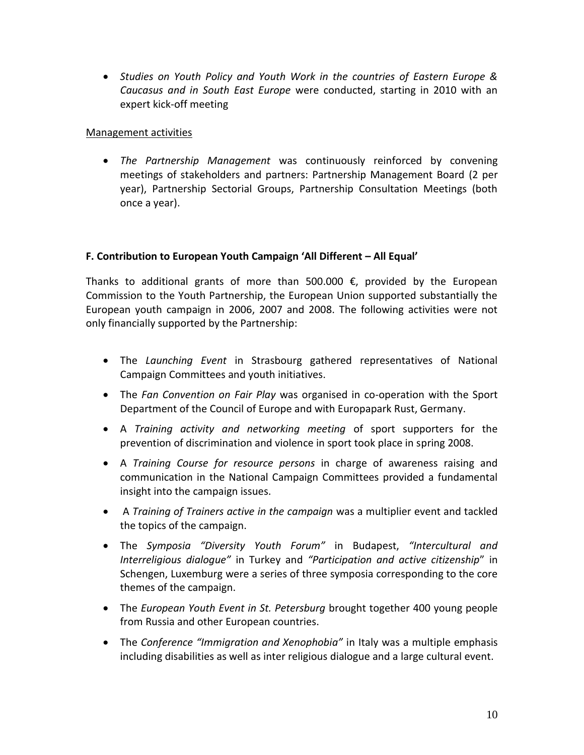*Studies on Youth Policy and Youth Work in the countries of Eastern Europe & Caucasus and in South East Europe* were conducted, starting in 2010 with an expert kick-off meeting

#### Management activities

 *The Partnership Management* was continuously reinforced by convening meetings of stakeholders and partners: Partnership Management Board (2 per year), Partnership Sectorial Groups, Partnership Consultation Meetings (both once a year).

#### **F. Contribution to European Youth Campaign 'All Different – All Equal'**

Thanks to additional grants of more than 500.000  $\epsilon$ , provided by the European Commission to the Youth Partnership, the European Union supported substantially the European youth campaign in 2006, 2007 and 2008. The following activities were not only financially supported by the Partnership:

- The *Launching Event* in Strasbourg gathered representatives of National Campaign Committees and youth initiatives.
- The *Fan Convention on Fair Play* was organised in co-operation with the Sport Department of the Council of Europe and with Europapark Rust, Germany.
- A *Training activity and networking meeting* of sport supporters for the prevention of discrimination and violence in sport took place in spring 2008.
- A *Training Course for resource persons* in charge of awareness raising and communication in the National Campaign Committees provided a fundamental insight into the campaign issues.
- A *Training of Trainers active in the campaign* was a multiplier event and tackled the topics of the campaign.
- The *Symposia "Diversity Youth Forum"* in Budapest, *"Intercultural and Interreligious dialogue"* in Turkey and *"Participation and active citizenship*" in Schengen, Luxemburg were a series of three symposia corresponding to the core themes of the campaign.
- The *European Youth Event in St. Petersburg* brought together 400 young people from Russia and other European countries.
- The *Conference "Immigration and Xenophobia"* in Italy was a multiple emphasis including disabilities as well as inter religious dialogue and a large cultural event.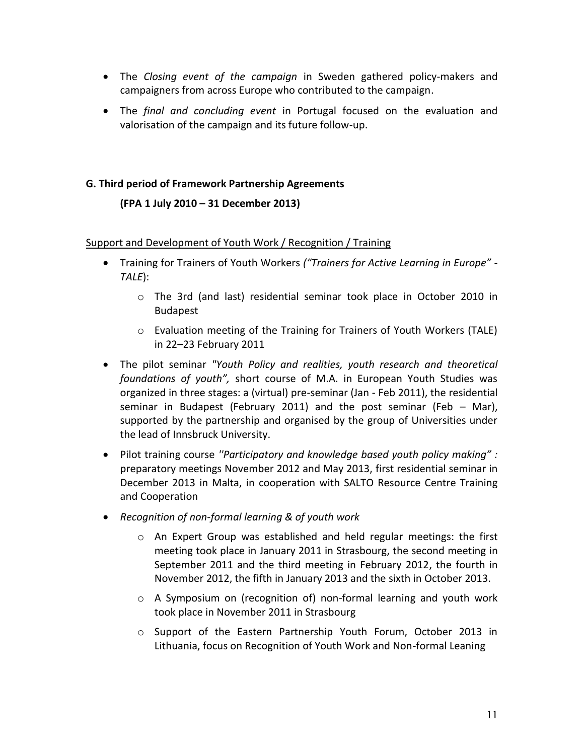- The *Closing event of the campaign* in Sweden gathered policy-makers and campaigners from across Europe who contributed to the campaign.
- The *final and concluding event* in Portugal focused on the evaluation and valorisation of the campaign and its future follow-up.

#### **G. Third period of Framework Partnership Agreements**

#### **(FPA 1 July 2010 – 31 December 2013)**

#### Support and Development of Youth Work / Recognition / Training

- Training for Trainers of Youth Workers *("Trainers for Active Learning in Europe" - TALE*):
	- o The 3rd (and last) residential seminar took place in October 2010 in Budapest
	- o Evaluation meeting of the Training for Trainers of Youth Workers (TALE) in 22–23 February 2011
- The pilot seminar *"Youth Policy and realities, youth research and theoretical foundations of youth",* short course of M.A. in European Youth Studies was organized in three stages: a (virtual) pre-seminar (Jan - Feb 2011), the residential seminar in Budapest (February 2011) and the post seminar (Feb  $-$  Mar), supported by the partnership and organised by the group of Universities under the lead of Innsbruck University.
- Pilot training course *''Participatory and knowledge based youth policy making" :*  preparatory meetings November 2012 and May 2013, first residential seminar in December 2013 in Malta, in cooperation with SALTO Resource Centre Training and Cooperation
- *Recognition of non-formal learning & of youth work*
	- $\circ$  An Expert Group was established and held regular meetings: the first meeting took place in January 2011 in Strasbourg, the second meeting in September 2011 and the third meeting in February 2012, the fourth in November 2012, the fifth in January 2013 and the sixth in October 2013.
	- $\circ$  A Symposium on (recognition of) non-formal learning and youth work took place in November 2011 in Strasbourg
	- o Support of the Eastern Partnership Youth Forum, October 2013 in Lithuania, focus on Recognition of Youth Work and Non-formal Leaning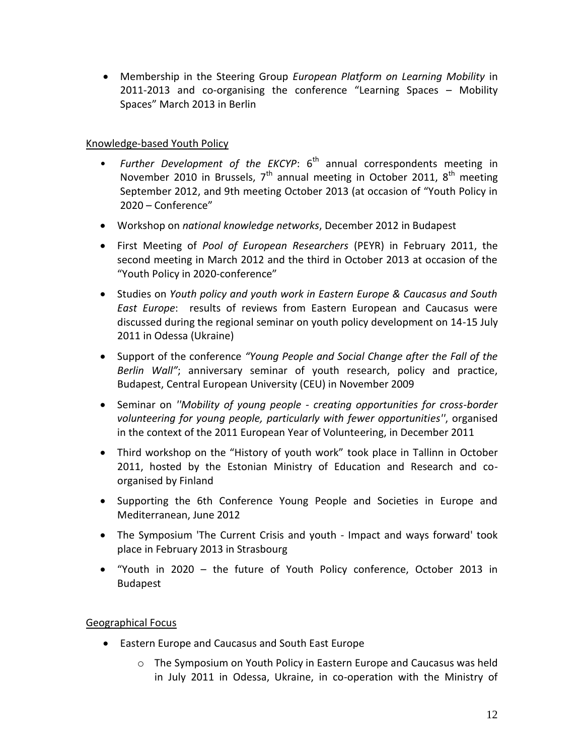Membership in the Steering Group *European Platform on Learning Mobility* in 2011-2013 and co-organising the conference "Learning Spaces – Mobility Spaces" March 2013 in Berlin

#### Knowledge-based Youth Policy

- *Further Development of the EKCYP*: 6<sup>th</sup> annual correspondents meeting in November 2010 in Brussels,  $7<sup>th</sup>$  annual meeting in October 2011,  $8<sup>th</sup>$  meeting September 2012, and 9th meeting October 2013 (at occasion of "Youth Policy in 2020 – Conference"
- Workshop on *national knowledge networks*, December 2012 in Budapest
- First Meeting of *Pool of European Researchers* (PEYR) in February 2011, the second meeting in March 2012 and the third in October 2013 at occasion of the "Youth Policy in 2020-conference"
- Studies on *Youth policy and youth work in Eastern Europe & Caucasus and South East Europe*: results of reviews from Eastern European and Caucasus were discussed during the regional seminar on youth policy development on 14-15 July 2011 in Odessa (Ukraine)
- Support of the conference *"Young People and Social Change after the Fall of the Berlin Wall"*; anniversary seminar of youth research, policy and practice, Budapest, Central European University (CEU) in November 2009
- Seminar on *''Mobility of young people - creating opportunities for cross-border volunteering for young people, particularly with fewer opportunities''*, organised in the context of the 2011 European Year of Volunteering, in December 2011
- Third workshop on the "History of youth work" took place in Tallinn in October 2011, hosted by the Estonian Ministry of Education and Research and coorganised by Finland
- Supporting the 6th Conference Young People and Societies in Europe and Mediterranean, June 2012
- The Symposium 'The Current Crisis and youth Impact and ways forward' took place in February 2013 in Strasbourg
- "Youth in 2020 the future of Youth Policy conference, October 2013 in Budapest

#### Geographical Focus

- Eastern Europe and Caucasus and South East Europe
	- o The Symposium on Youth Policy in Eastern Europe and Caucasus was held in July 2011 in Odessa, Ukraine, in co-operation with the Ministry of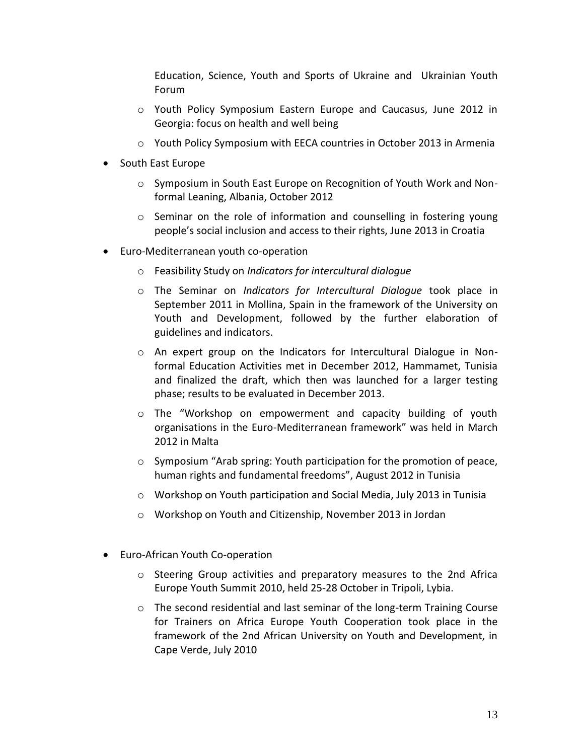Education, Science, Youth and Sports of Ukraine and Ukrainian Youth Forum

- o Youth Policy Symposium Eastern Europe and Caucasus, June 2012 in Georgia: focus on health and well being
- $\circ$  Youth Policy Symposium with EECA countries in October 2013 in Armenia
- South East Europe
	- o Symposium in South East Europe on Recognition of Youth Work and Nonformal Leaning, Albania, October 2012
	- $\circ$  Seminar on the role of information and counselling in fostering young people's social inclusion and access to their rights, June 2013 in Croatia
- Euro-Mediterranean youth co-operation
	- o Feasibility Study on *Indicators for intercultural dialogue*
	- o The Seminar on *Indicators for Intercultural Dialogue* took place in September 2011 in Mollina, Spain in the framework of the University on Youth and Development, followed by the further elaboration of guidelines and indicators.
	- $\circ$  An expert group on the Indicators for Intercultural Dialogue in Nonformal Education Activities met in December 2012, Hammamet, Tunisia and finalized the draft, which then was launched for a larger testing phase; results to be evaluated in December 2013.
	- o The "Workshop on empowerment and capacity building of youth organisations in the Euro-Mediterranean framework" was held in March 2012 in Malta
	- o Symposium "Arab spring: Youth participation for the promotion of peace, human rights and fundamental freedoms", August 2012 in Tunisia
	- o Workshop on Youth participation and Social Media, July 2013 in Tunisia
	- o Workshop on Youth and Citizenship, November 2013 in Jordan
- Euro-African Youth Co-operation
	- $\circ$  Steering Group activities and preparatory measures to the 2nd Africa Europe Youth Summit 2010, held 25-28 October in Tripoli, Lybia.
	- o The second residential and last seminar of the long-term Training Course for Trainers on Africa Europe Youth Cooperation took place in the framework of the 2nd African University on Youth and Development, in Cape Verde, July 2010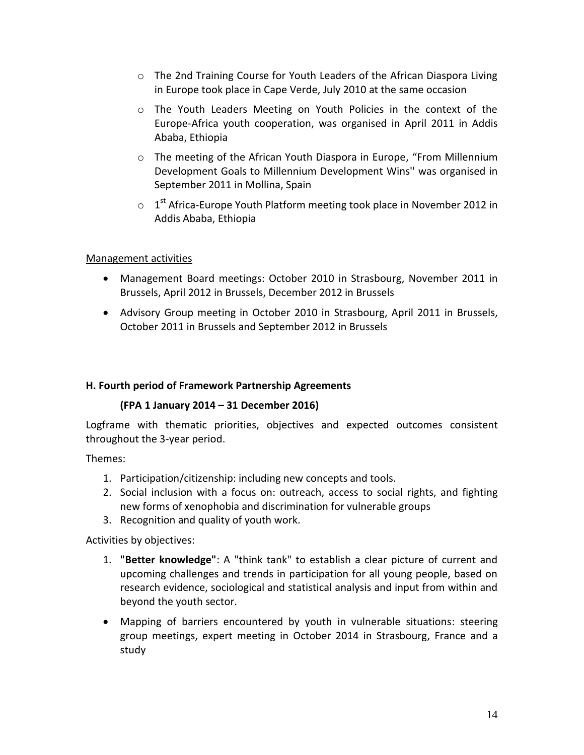- $\circ$  The 2nd Training Course for Youth Leaders of the African Diaspora Living in Europe took place in Cape Verde, July 2010 at the same occasion
- o The Youth Leaders Meeting on Youth Policies in the context of the Europe-Africa youth cooperation, was organised in April 2011 in Addis Ababa, Ethiopia
- o The meeting of the African Youth Diaspora in Europe, "From Millennium Development Goals to Millennium Development Wins'' was organised in September 2011 in Mollina, Spain
- $\circ$  1<sup>st</sup> Africa-Europe Youth Platform meeting took place in November 2012 in Addis Ababa, Ethiopia

#### Management activities

- Management Board meetings: October 2010 in Strasbourg, November 2011 in Brussels, April 2012 in Brussels, December 2012 in Brussels
- Advisory Group meeting in October 2010 in Strasbourg, April 2011 in Brussels, October 2011 in Brussels and September 2012 in Brussels

#### **H. Fourth period of Framework Partnership Agreements**

#### **(FPA 1 January 2014 – 31 December 2016)**

Logframe with thematic priorities, objectives and expected outcomes consistent throughout the 3-year period.

Themes:

- 1. Participation/citizenship: including new concepts and tools.
- 2. Social inclusion with a focus on: outreach, access to social rights, and fighting new forms of xenophobia and discrimination for vulnerable groups
- 3. Recognition and quality of youth work.

Activities by objectives:

- 1. **"Better knowledge"**: A "think tank" to establish a clear picture of current and upcoming challenges and trends in participation for all young people, based on research evidence, sociological and statistical analysis and input from within and beyond the youth sector.
- Mapping of barriers encountered by youth in vulnerable situations: steering group meetings, expert meeting in October 2014 in Strasbourg, France and a study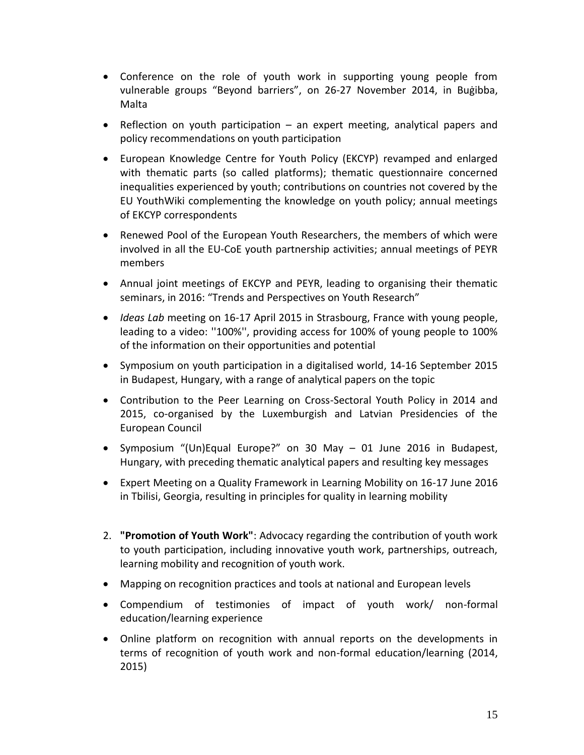- Conference on the role of youth work in supporting young people from vulnerable groups "Beyond barriers", on 26-27 November 2014, in Buġibba, Malta
- Reflection on youth participation an expert meeting, analytical papers and policy recommendations on youth participation
- European Knowledge Centre for Youth Policy (EKCYP) revamped and enlarged with thematic parts (so called platforms); thematic questionnaire concerned inequalities experienced by youth; contributions on countries not covered by the EU YouthWiki complementing the knowledge on youth policy; annual meetings of EKCYP correspondents
- Renewed Pool of the European Youth Researchers, the members of which were involved in all the EU-CoE youth partnership activities; annual meetings of PEYR members
- Annual joint meetings of EKCYP and PEYR, leading to organising their thematic seminars, in 2016: "Trends and Perspectives on Youth Research"
- *Ideas Lab* meeting on 16-17 April 2015 in Strasbourg, France with young people, leading to a video: ''100%'', providing access for 100% of young people to 100% of the information on their opportunities and potential
- Symposium on youth participation in a digitalised world, 14-16 September 2015 in Budapest, Hungary, with a range of analytical papers on the topic
- Contribution to the Peer Learning on Cross-Sectoral Youth Policy in 2014 and 2015, co-organised by the Luxemburgish and Latvian Presidencies of the European Council
- Symposium "(Un)Equal Europe?" on 30 May 01 June 2016 in Budapest, Hungary, with preceding thematic analytical papers and resulting key messages
- Expert Meeting on a Quality Framework in Learning Mobility on 16-17 June 2016 in Tbilisi, Georgia, resulting in principles for quality in learning mobility
- 2. **"Promotion of Youth Work"**: Advocacy regarding the contribution of youth work to youth participation, including innovative youth work, partnerships, outreach, learning mobility and recognition of youth work.
- Mapping on recognition practices and tools at national and European levels
- Compendium of testimonies of impact of youth work/ non-formal education/learning experience
- Online platform on recognition with annual reports on the developments in terms of recognition of youth work and non-formal education/learning (2014, 2015)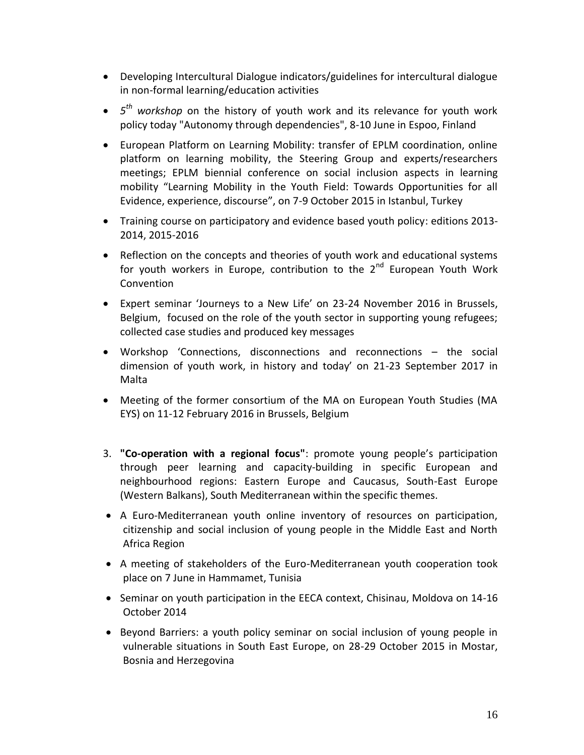- Developing Intercultural Dialogue indicators/guidelines for intercultural dialogue in non-formal learning/education activities
- *5 th workshop* on the history of youth work and its relevance for youth work policy today "Autonomy through dependencies", 8-10 June in Espoo, Finland
- European Platform on Learning Mobility: transfer of EPLM coordination, online platform on learning mobility, the Steering Group and experts/researchers meetings; EPLM biennial conference on social inclusion aspects in learning mobility "Learning Mobility in the Youth Field: Towards Opportunities for all Evidence, experience, discourse", on 7-9 October 2015 in Istanbul, Turkey
- Training course on participatory and evidence based youth policy: editions 2013- 2014, 2015-2016
- Reflection on the concepts and theories of youth work and educational systems for youth workers in Europe, contribution to the  $2^{nd}$  European Youth Work Convention
- Expert seminar 'Journeys to a New Life' on 23-24 November 2016 in Brussels, Belgium, focused on the role of the youth sector in supporting young refugees; collected case studies and produced key messages
- Workshop 'Connections, disconnections and reconnections the social dimension of youth work, in history and today' on 21-23 September 2017 in Malta
- Meeting of the former consortium of the MA on European Youth Studies (MA EYS) on 11-12 February 2016 in Brussels, Belgium
- 3. **"Co-operation with a regional focus"**: promote young people's participation through peer learning and capacity-building in specific European and neighbourhood regions: Eastern Europe and Caucasus, South-East Europe (Western Balkans), South Mediterranean within the specific themes.
- A Euro-Mediterranean youth online inventory of resources on participation, citizenship and social inclusion of young people in the Middle East and North Africa Region
- A meeting of stakeholders of the Euro-Mediterranean youth cooperation took place on 7 June in Hammamet, Tunisia
- Seminar on youth participation in the EECA context, Chisinau, Moldova on 14-16 October 2014
- Beyond Barriers: a youth policy seminar on social inclusion of young people in vulnerable situations in South East Europe, on 28-29 October 2015 in Mostar, Bosnia and Herzegovina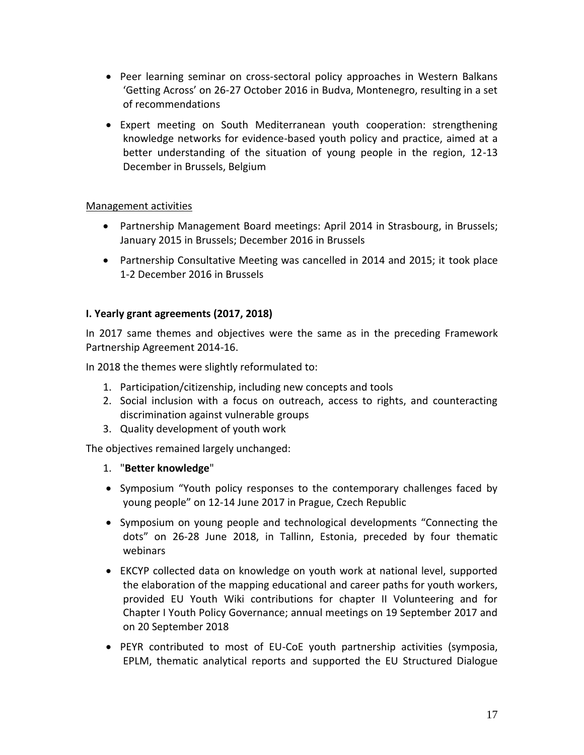- Peer learning seminar on cross-sectoral policy approaches in Western Balkans 'Getting Across' on 26-27 October 2016 in Budva, Montenegro, resulting in a set of recommendations
- Expert meeting on South Mediterranean youth cooperation: strengthening knowledge networks for evidence-based youth policy and practice, aimed at a better understanding of the situation of young people in the region, 12-13 December in Brussels, Belgium

#### Management activities

- Partnership Management Board meetings: April 2014 in Strasbourg, in Brussels; January 2015 in Brussels; December 2016 in Brussels
- Partnership Consultative Meeting was cancelled in 2014 and 2015; it took place 1-2 December 2016 in Brussels

#### **I. Yearly grant agreements (2017, 2018)**

In 2017 same themes and objectives were the same as in the preceding Framework Partnership Agreement 2014-16.

In 2018 the themes were slightly reformulated to:

- 1. Participation/citizenship, including new concepts and tools
- 2. Social inclusion with a focus on outreach, access to rights, and counteracting discrimination against vulnerable groups
- 3. Quality development of youth work

The objectives remained largely unchanged:

- 1. "**Better knowledge**"
- Symposium "Youth policy responses to the contemporary challenges faced by young people" on 12-14 June 2017 in Prague, Czech Republic
- Symposium on young people and technological developments "Connecting the dots" on 26-28 June 2018, in Tallinn, Estonia, preceded by four thematic webinars
- EKCYP collected data on knowledge on youth work at national level, supported the elaboration of the mapping educational and career paths for youth workers, provided EU Youth Wiki contributions for chapter II Volunteering and for Chapter I Youth Policy Governance; annual meetings on 19 September 2017 and on 20 September 2018
- PEYR contributed to most of EU-CoE youth partnership activities (symposia, EPLM, thematic analytical reports and supported the EU Structured Dialogue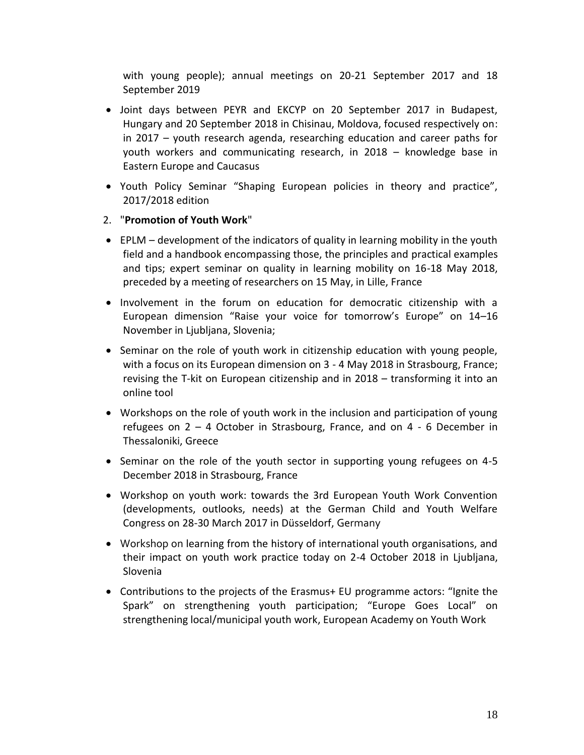with young people); annual meetings on 20-21 September 2017 and 18 September 2019

- Joint days between PEYR and EKCYP on 20 September 2017 in Budapest, Hungary and 20 September 2018 in Chisinau, Moldova, focused respectively on: in 2017 – youth research agenda, researching education and career paths for youth workers and communicating research, in 2018 – knowledge base in Eastern Europe and Caucasus
- Youth Policy Seminar "Shaping European policies in theory and practice", 2017/2018 edition

#### 2. "**Promotion of Youth Work**"

- EPLM development of the indicators of quality in learning mobility in the youth field and a handbook encompassing those, the principles and practical examples and tips; expert seminar on quality in learning mobility on 16-18 May 2018, preceded by a meeting of researchers on 15 May, in Lille, France
- Involvement in the forum on education for democratic citizenship with a European dimension "Raise your voice for tomorrow's Europe" on 14–16 November in Ljubljana, Slovenia;
- Seminar on the role of youth work in citizenship education with young people, with a focus on its European dimension on 3 - 4 May 2018 in Strasbourg, France; revising the T-kit on European citizenship and in 2018 – transforming it into an online tool
- Workshops on the role of youth work in the inclusion and participation of young refugees on 2 – 4 October in Strasbourg, France, and on 4 - 6 December in Thessaloniki, Greece
- Seminar on the role of the youth sector in supporting young refugees on 4-5 December 2018 in Strasbourg, France
- Workshop on youth work: towards the 3rd European Youth Work Convention (developments, outlooks, needs) at the German Child and Youth Welfare Congress on 28-30 March 2017 in Düsseldorf, Germany
- Workshop on learning from the history of international youth organisations, and their impact on youth work practice today on 2-4 October 2018 in Ljubljana, Slovenia
- Contributions to the projects of the Erasmus+ EU programme actors: "Ignite the Spark" on strengthening youth participation; "Europe Goes Local" on strengthening local/municipal youth work, European Academy on Youth Work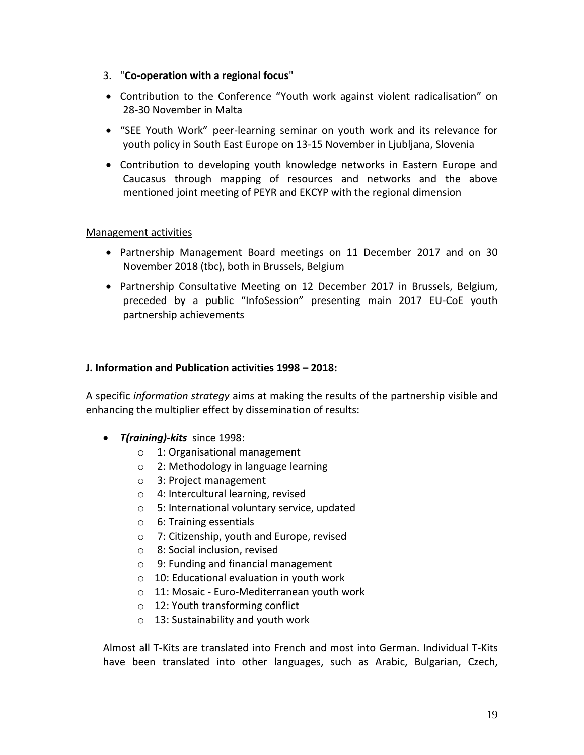- 3. "**Co-operation with a regional focus**"
- Contribution to the Conference "Youth work against violent radicalisation" on 28-30 November in Malta
- "SEE Youth Work" peer-learning seminar on youth work and its relevance for youth policy in South East Europe on 13-15 November in Ljubljana, Slovenia
- Contribution to developing youth knowledge networks in Eastern Europe and Caucasus through mapping of resources and networks and the above mentioned joint meeting of PEYR and EKCYP with the regional dimension

#### Management activities

- Partnership Management Board meetings on 11 December 2017 and on 30 November 2018 (tbc), both in Brussels, Belgium
- Partnership Consultative Meeting on 12 December 2017 in Brussels, Belgium, preceded by a public "InfoSession" presenting main 2017 EU-CoE youth partnership achievements

#### **J. Information and Publication activities 1998 – 2018:**

A specific *information strategy* aims at making the results of the partnership visible and enhancing the multiplier effect by dissemination of results:

- *T(raining)-kits* since 1998:
	- o 1: Organisational management
	- o 2: Methodology in language learning
	- o 3: Project management
	- o 4: Intercultural learning, revised
	- o 5: International voluntary service, updated
	- o 6: Training essentials
	- o 7: Citizenship, youth and Europe, revised
	- o 8: Social inclusion, revised
	- o 9: Funding and financial management
	- o 10: Educational evaluation in youth work
	- o 11: Mosaic Euro-Mediterranean youth work
	- o 12: Youth transforming conflict
	- o 13: Sustainability and youth work

Almost all T-Kits are translated into French and most into German. Individual T-Kits have been translated into other languages, such as Arabic, Bulgarian, Czech,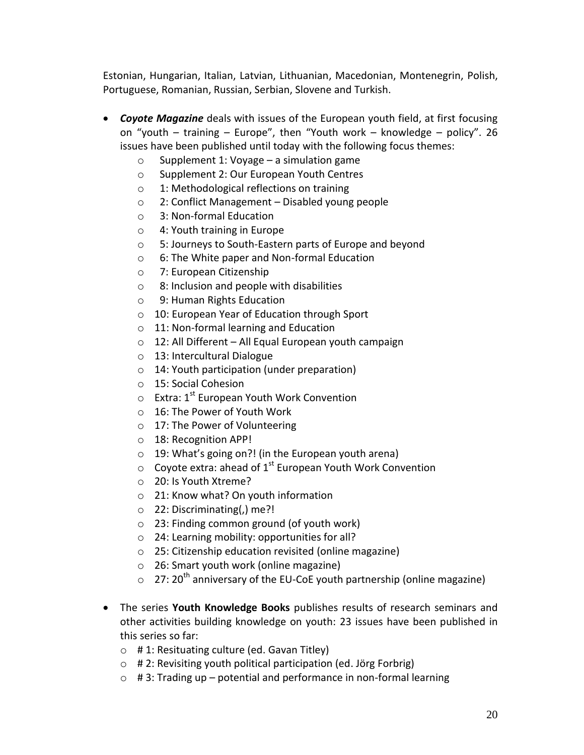Estonian, Hungarian, Italian, Latvian, Lithuanian, Macedonian, Montenegrin, Polish, Portuguese, Romanian, Russian, Serbian, Slovene and Turkish.

- *Coyote Magazine* deals with issues of the European youth field, at first focusing on "youth – training – Europe", then "Youth work – knowledge – policy". 26 issues have been published until today with the following focus themes:
	- o Supplement 1: Voyage a simulation game
	- o Supplement 2: Our European Youth Centres
	- o 1: Methodological reflections on training
	- o 2: Conflict Management Disabled young people
	- o 3: Non-formal Education
	- o 4: Youth training in Europe
	- o 5: Journeys to South-Eastern parts of Europe and beyond
	- o 6: The White paper and Non-formal Education
	- o 7: European Citizenship
	- o 8: Inclusion and people with disabilities
	- o 9: Human Rights Education
	- o 10: European Year of Education through Sport
	- o 11: Non-formal learning and Education
	- o 12: All Different All Equal European youth campaign
	- o 13: Intercultural Dialogue
	- o 14: Youth participation (under preparation)
	- o 15: Social Cohesion
	- $\circ$  Extra: 1<sup>st</sup> European Youth Work Convention
	- o 16: The Power of Youth Work
	- o 17: The Power of Volunteering
	- o 18: Recognition APP!
	- o 19: What's going on?! (in the European youth arena)
	- $\circ$  Coyote extra: ahead of 1<sup>st</sup> European Youth Work Convention
	- o 20: Is Youth Xtreme?
	- o 21: Know what? On youth information
	- o 22: Discriminating(,) me?!
	- o 23: Finding common ground (of youth work)
	- o 24: Learning mobility: opportunities for all?
	- o 25: Citizenship education revisited (online magazine)
	- o 26: Smart youth work (online magazine)
	- $\circ$  27: 20<sup>th</sup> anniversary of the EU-CoE youth partnership (online magazine)
- The series **Youth Knowledge Books** publishes results of research seminars and other activities building knowledge on youth: 23 issues have been published in this series so far:
	- o # 1: Resituating culture (ed. Gavan Titley)
	- o # 2: Revisiting youth political participation (ed. Jörg Forbrig)
	- $\circ$  # 3: Trading up potential and performance in non-formal learning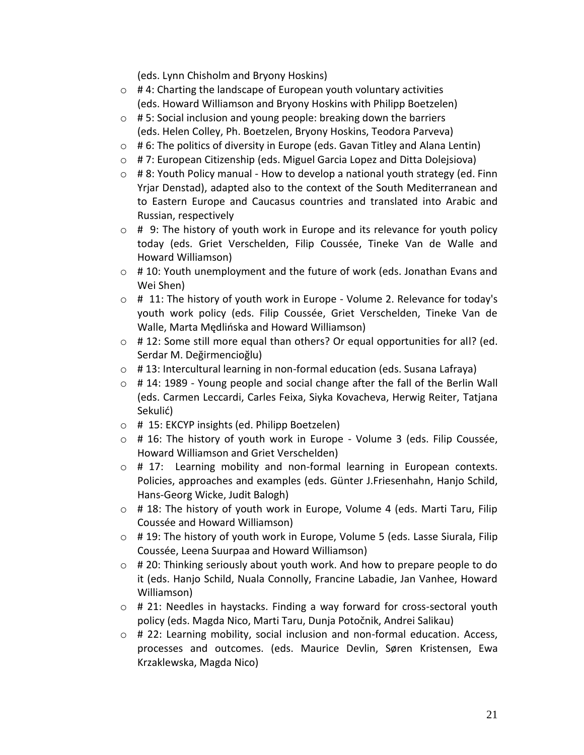(eds. Lynn Chisholm and Bryony Hoskins)

- $\circ$  # 4: Charting the landscape of European youth voluntary activities (eds. Howard Williamson and Bryony Hoskins with Philipp Boetzelen)
- $\circ$  # 5: Social inclusion and young people: breaking down the barriers (eds. Helen Colley, Ph. Boetzelen, Bryony Hoskins, Teodora Parveva)
- $\circ$  # 6: The politics of diversity in Europe (eds. Gavan Titley and Alana Lentin)
- o # 7: European Citizenship (eds. Miguel Garcia Lopez and Ditta Dolejsiova)
- $\circ$  # 8: Youth Policy manual How to develop a national youth strategy (ed. Finn Yrjar Denstad), adapted also to the context of the South Mediterranean and to Eastern Europe and Caucasus countries and translated into Arabic and Russian, respectively
- $\circ$  # 9: The history of youth work in Europe and its relevance for youth policy today (eds. Griet Verschelden, Filip Coussée, Tineke Van de Walle and Howard Williamson)
- o # 10: Youth unemployment and the future of work (eds. Jonathan Evans and Wei Shen)
- $\circ$  # 11: The history of youth work in Europe Volume 2. Relevance for today's youth work policy (eds. Filip Coussée, Griet Verschelden, Tineke Van de Walle, Marta Mędlińska and Howard Williamson)
- o # 12: Some still more equal than others? Or equal opportunities for all? (ed. Serdar M. Değirmencioğlu)
- o # 13: Intercultural learning in non-formal education (eds. Susana Lafraya)
- $\circ$  # 14: 1989 Young people and social change after the fall of the Berlin Wall (eds. Carmen Leccardi, Carles Feixa, Siyka Kovacheva, Herwig Reiter, Tatjana Sekulić)
- o # 15: EKCYP insights (ed. Philipp Boetzelen)
- o # 16: The history of youth work in Europe Volume 3 (eds. Filip Coussée, Howard Williamson and Griet Verschelden)
- o # 17: Learning mobility and non-formal learning in European contexts. Policies, approaches and examples (eds. Günter J.Friesenhahn, Hanjo Schild, Hans-Georg Wicke, Judit Balogh)
- $\circ$  # 18: The history of youth work in Europe, Volume 4 (eds. Marti Taru, Filip Coussée and Howard Williamson)
- o # 19: The history of youth work in Europe, Volume 5 (eds. Lasse Siurala, Filip Coussée, Leena Suurpaa and Howard Williamson)
- o # 20: Thinking seriously about youth work. And how to prepare people to do it (eds. Hanjo Schild, Nuala Connolly, Francine Labadie, Jan Vanhee, Howard Williamson)
- o # 21: Needles in haystacks. Finding a way forward for cross-sectoral youth policy (eds. Magda Nico, Marti Taru, Dunja Potočnik, Andrei Salikau)
- $\circ$  # 22: Learning mobility, social inclusion and non-formal education. Access, processes and outcomes. (eds. Maurice Devlin, Søren Kristensen, Ewa Krzaklewska, Magda Nico)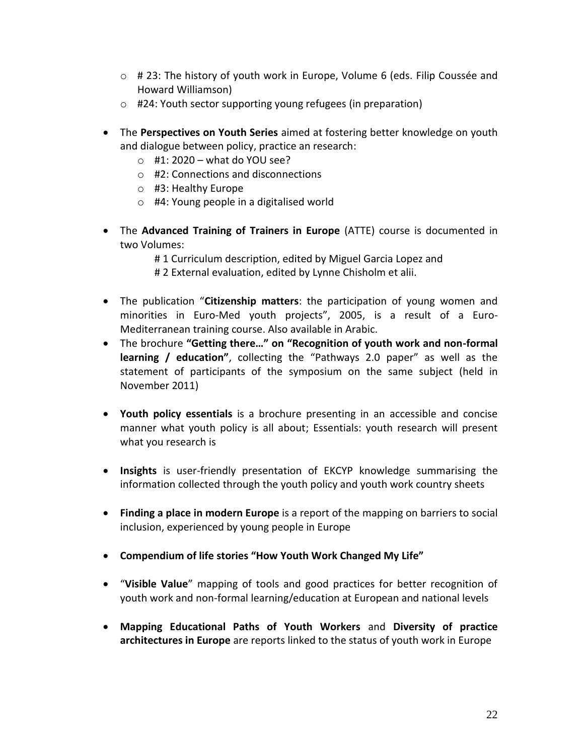- $\circ$  # 23: The history of youth work in Europe, Volume 6 (eds. Filip Coussée and Howard Williamson)
- o #24: Youth sector supporting young refugees (in preparation)
- The **Perspectives on Youth Series** aimed at fostering better knowledge on youth and dialogue between policy, practice an research:
	- $\circ$  #1: 2020 what do YOU see?
	- o #2: Connections and disconnections
	- o #3: Healthy Europe
	- o #4: Young people in a digitalised world
- The **Advanced Training of Trainers in Europe** (ATTE) course is documented in two Volumes:

# 1 Curriculum description, edited by Miguel Garcia Lopez and # 2 External evaluation, edited by Lynne Chisholm et alii.

- The publication "**Citizenship matters**: the participation of young women and minorities in Euro-Med youth projects", 2005, is a result of a Euro-Mediterranean training course. Also available in Arabic.
- The brochure **"Getting there…" on "Recognition of youth work and non-formal learning / education"**, collecting the "Pathways 2.0 paper" as well as the statement of participants of the symposium on the same subject (held in November 2011)
- **Youth policy essentials** is a brochure presenting in an accessible and concise manner what youth policy is all about; Essentials: youth research will present what you research is
- **Insights** is user-friendly presentation of EKCYP knowledge summarising the information collected through the youth policy and youth work country sheets
- **Finding a place in modern Europe** is a report of the mapping on barriers to social inclusion, experienced by young people in Europe
- **Compendium of life stories "How Youth Work Changed My Life"**
- "**Visible Value**" mapping of tools and good practices for better recognition of youth work and non-formal learning/education at European and national levels
- **Mapping Educational Paths of Youth Workers** and **Diversity of practice architectures in Europe** are reports linked to the status of youth work in Europe